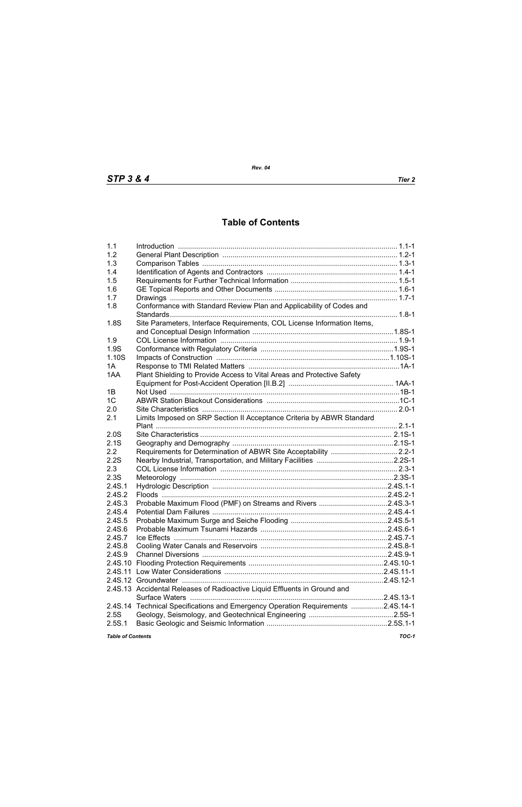## **Table of Contents**

| 1.1                      |                                                                           |       |
|--------------------------|---------------------------------------------------------------------------|-------|
| 1.2                      |                                                                           |       |
| 1.3                      |                                                                           |       |
| 1.4                      |                                                                           |       |
| 1.5                      |                                                                           |       |
| 1.6                      |                                                                           |       |
| 1.7                      |                                                                           |       |
| 1.8                      | Conformance with Standard Review Plan and Applicability of Codes and      |       |
|                          |                                                                           |       |
| 1.8S                     | Site Parameters, Interface Requirements, COL License Information Items,   |       |
|                          |                                                                           |       |
| 1.9                      |                                                                           |       |
| 1.9S                     |                                                                           |       |
| 1.10S                    |                                                                           |       |
| 1A                       |                                                                           |       |
| 1AA                      | Plant Shielding to Provide Access to Vital Areas and Protective Safety    |       |
|                          |                                                                           |       |
| 1B                       |                                                                           |       |
| 1 <sup>C</sup>           |                                                                           |       |
| 2.0                      |                                                                           |       |
| 2.1                      | Limits Imposed on SRP Section II Acceptance Criteria by ABWR Standard     |       |
|                          |                                                                           |       |
| 2.0S                     |                                                                           |       |
| 2.1S                     |                                                                           |       |
| 2.2                      | Requirements for Determination of ABWR Site Acceptability  2.2-1          |       |
| 2.2S                     |                                                                           |       |
| 2.3                      |                                                                           |       |
| 2.3S                     |                                                                           |       |
| 2.4S.1                   |                                                                           |       |
| 2.4S.2                   |                                                                           |       |
| 2.4S.3                   |                                                                           |       |
|                          | Probable Maximum Flood (PMF) on Streams and Rivers 2.4S.3-1               |       |
| 2.4S.4<br>2.4S.5         |                                                                           |       |
|                          |                                                                           |       |
| 2.4S.6                   |                                                                           |       |
| 2.4S.7                   |                                                                           |       |
| 2.4S.8                   |                                                                           |       |
| 2.4S.9                   |                                                                           |       |
|                          |                                                                           |       |
|                          |                                                                           |       |
|                          |                                                                           |       |
|                          | 2.4S.13 Accidental Releases of Radioactive Liquid Effluents in Ground and |       |
|                          |                                                                           |       |
| 2.4S.14                  | Technical Specifications and Emergency Operation Requirements 2.4S.14-1   |       |
| 2.5S                     |                                                                           |       |
| 2.5S.1                   |                                                                           |       |
| <b>Table of Contents</b> |                                                                           | TOC-1 |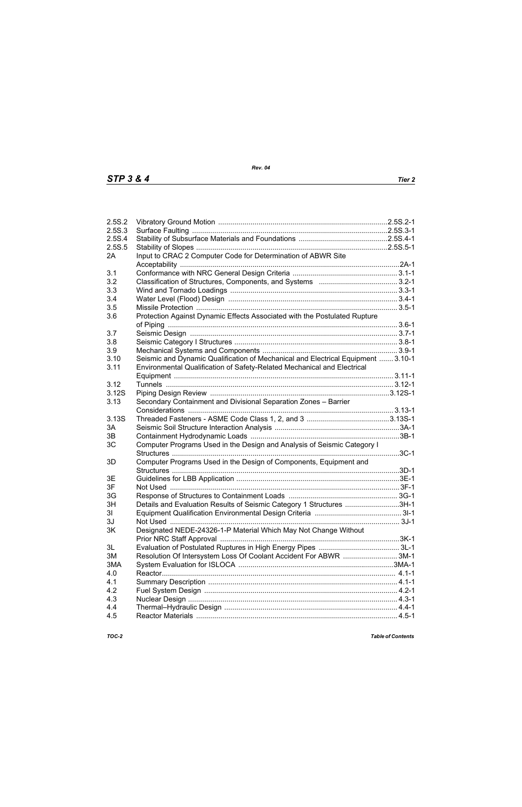| 2.5S.2 |                                                                                  |  |
|--------|----------------------------------------------------------------------------------|--|
| 2.5S.3 |                                                                                  |  |
| 2.5S.4 |                                                                                  |  |
| 2.5S.5 |                                                                                  |  |
| 2A     | Input to CRAC 2 Computer Code for Determination of ABWR Site                     |  |
|        |                                                                                  |  |
| 3.1    |                                                                                  |  |
| 3.2    |                                                                                  |  |
| 3.3    |                                                                                  |  |
| 3.4    |                                                                                  |  |
| 3.5    |                                                                                  |  |
| 3.6    | Protection Against Dynamic Effects Associated with the Postulated Rupture        |  |
|        |                                                                                  |  |
| 3.7    |                                                                                  |  |
|        |                                                                                  |  |
| 3.8    |                                                                                  |  |
| 3.9    |                                                                                  |  |
| 3.10   | Seismic and Dynamic Qualification of Mechanical and Electrical Equipment  3.10-1 |  |
| 3.11   | Environmental Qualification of Safety-Related Mechanical and Electrical          |  |
|        |                                                                                  |  |
| 3.12   |                                                                                  |  |
| 3.12S  |                                                                                  |  |
| 3.13   | Secondary Containment and Divisional Separation Zones - Barrier                  |  |
|        |                                                                                  |  |
| 3.13S  |                                                                                  |  |
| 3A     |                                                                                  |  |
| 3B     |                                                                                  |  |
| 3C     | Computer Programs Used in the Design and Analysis of Seismic Category I          |  |
|        |                                                                                  |  |
| 3D     | Computer Programs Used in the Design of Components, Equipment and                |  |
|        |                                                                                  |  |
| 3E     |                                                                                  |  |
| 3F     |                                                                                  |  |
| 3G     |                                                                                  |  |
|        |                                                                                  |  |
| 3H     | Details and Evaluation Results of Seismic Category 1 Structures 3H-1             |  |
| 31     |                                                                                  |  |
| 3J     |                                                                                  |  |
| 3K     | Designated NEDE-24326-1-P Material Which May Not Change Without                  |  |
|        |                                                                                  |  |
| 3L     |                                                                                  |  |
| 3M     | Resolution Of Intersystem Loss Of Coolant Accident For ABWR 3M-1                 |  |
| 3MA    |                                                                                  |  |
| 4.0    |                                                                                  |  |
| 4.1    |                                                                                  |  |
| 4.2    |                                                                                  |  |
| 4.3    |                                                                                  |  |
| 4.4    |                                                                                  |  |
| 4.5    |                                                                                  |  |
|        |                                                                                  |  |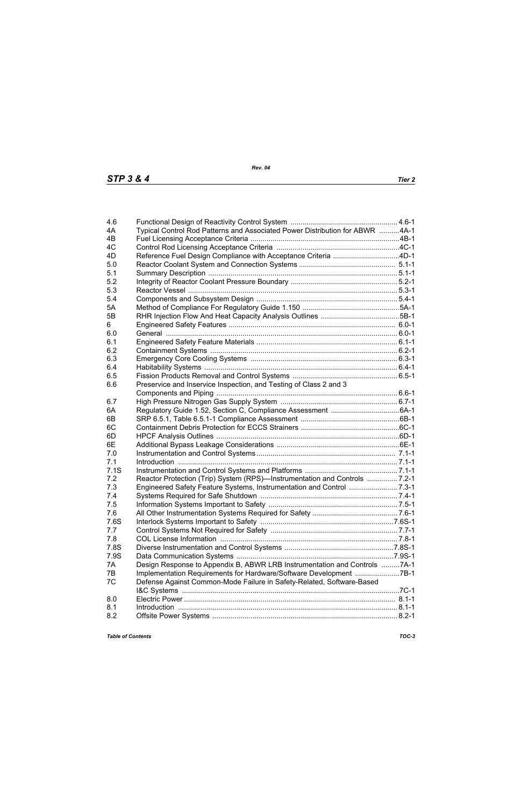| 4.6  |                                                                                                                  |  |
|------|------------------------------------------------------------------------------------------------------------------|--|
| 4A   | Typical Control Rod Patterns and Associated Power Distribution for ABWR 4A-1                                     |  |
| 4B   |                                                                                                                  |  |
| 4C   |                                                                                                                  |  |
| 4D   | Reference Fuel Design Compliance with Acceptance Criteria 4D-1                                                   |  |
| 5.0  |                                                                                                                  |  |
| 5.1  |                                                                                                                  |  |
| 5.2  |                                                                                                                  |  |
| 5.3  |                                                                                                                  |  |
| 5.4  |                                                                                                                  |  |
| 5A   |                                                                                                                  |  |
| 5B   |                                                                                                                  |  |
| 6    |                                                                                                                  |  |
| 6.0  |                                                                                                                  |  |
| 6.1  |                                                                                                                  |  |
| 6.2  |                                                                                                                  |  |
| 6.3  |                                                                                                                  |  |
| 6.4  |                                                                                                                  |  |
| 6.5  |                                                                                                                  |  |
| 6.6  | Preservice and Inservice Inspection, and Testing of Class 2 and 3                                                |  |
|      |                                                                                                                  |  |
| 6.7  |                                                                                                                  |  |
| 6A   |                                                                                                                  |  |
| 6B   |                                                                                                                  |  |
| 6C   |                                                                                                                  |  |
| 6D   |                                                                                                                  |  |
| 6E   |                                                                                                                  |  |
| 7.0  |                                                                                                                  |  |
| 7.1  |                                                                                                                  |  |
| 7.1S |                                                                                                                  |  |
| 7.2  | Reactor Protection (Trip) System (RPS)—Instrumentation and Controls  7.2-1                                       |  |
| 7.3  |                                                                                                                  |  |
| 7.4  |                                                                                                                  |  |
| 7.5  |                                                                                                                  |  |
| 7.6  |                                                                                                                  |  |
| 7.6S |                                                                                                                  |  |
| 7.7  |                                                                                                                  |  |
| 7.8  | 7.8-1. 7.8-1 . The Director School of the University of the University of the University ODL License Information |  |
| 7.8S |                                                                                                                  |  |
| 7.9S |                                                                                                                  |  |
| 7A   | Design Response to Appendix B, ABWR LRB Instrumentation and Controls 7A-1                                        |  |
| 7B   | Implementation Requirements for Hardware/Software Development 7B-1                                               |  |
| 7C   | Defense Against Common-Mode Failure in Safety-Related, Software-Based                                            |  |
|      |                                                                                                                  |  |
| 8.0  |                                                                                                                  |  |
| 8.1  |                                                                                                                  |  |
| 8.2  |                                                                                                                  |  |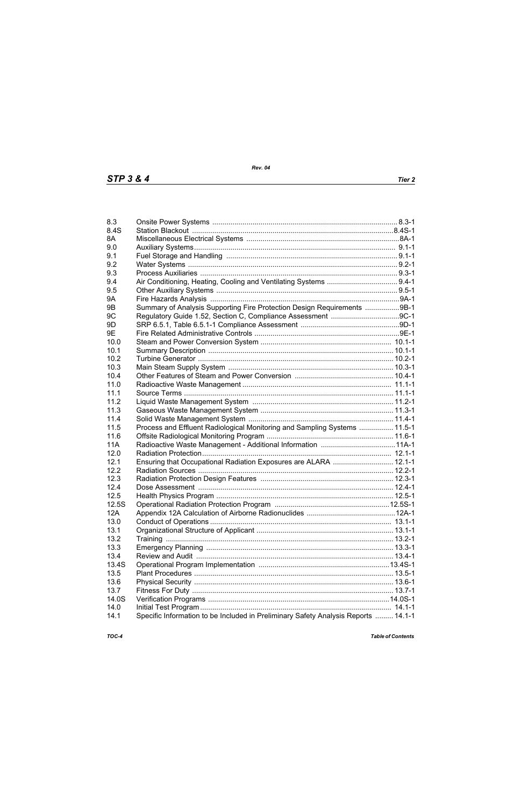| 8.3            |                                                                                    |  |
|----------------|------------------------------------------------------------------------------------|--|
| 8.4S           |                                                                                    |  |
| 8A             |                                                                                    |  |
| 9.0            |                                                                                    |  |
| 9.1            |                                                                                    |  |
| 9.2            |                                                                                    |  |
| 9.3            |                                                                                    |  |
| 9.4            |                                                                                    |  |
| 9.5            |                                                                                    |  |
| <b>9A</b>      |                                                                                    |  |
| 9 <sub>B</sub> | Summary of Analysis Supporting Fire Protection Design Requirements 9B-1            |  |
| 9C             |                                                                                    |  |
| 9D             |                                                                                    |  |
| 9E             |                                                                                    |  |
| 10.0           |                                                                                    |  |
|                |                                                                                    |  |
| 10.1           |                                                                                    |  |
| 10.2           |                                                                                    |  |
| 10.3           |                                                                                    |  |
| 10.4           |                                                                                    |  |
| 11.0           |                                                                                    |  |
| 11.1           |                                                                                    |  |
| 11.2           |                                                                                    |  |
| 11.3           |                                                                                    |  |
| 11.4           |                                                                                    |  |
| 11.5           | Process and Effluent Radiological Monitoring and Sampling Systems  11.5-1          |  |
| 11.6           |                                                                                    |  |
| <b>11A</b>     |                                                                                    |  |
| 12.0           |                                                                                    |  |
| 12.1           | Ensuring that Occupational Radiation Exposures are ALARA  12.1-1                   |  |
| 12.2           |                                                                                    |  |
| 12.3           |                                                                                    |  |
| 12.4           |                                                                                    |  |
| 12.5           |                                                                                    |  |
| 12.5S          |                                                                                    |  |
| 12A            |                                                                                    |  |
| 13.0           |                                                                                    |  |
| 13.1           |                                                                                    |  |
| 13.2           |                                                                                    |  |
| 13.3           |                                                                                    |  |
| 13.4           |                                                                                    |  |
| 13.4S          |                                                                                    |  |
| 13.5           |                                                                                    |  |
| 13.6           |                                                                                    |  |
| 13.7           |                                                                                    |  |
| 14.0S          |                                                                                    |  |
| 14.0           |                                                                                    |  |
| 14.1           | Specific Information to be Included in Preliminary Safety Analysis Reports  14.1-1 |  |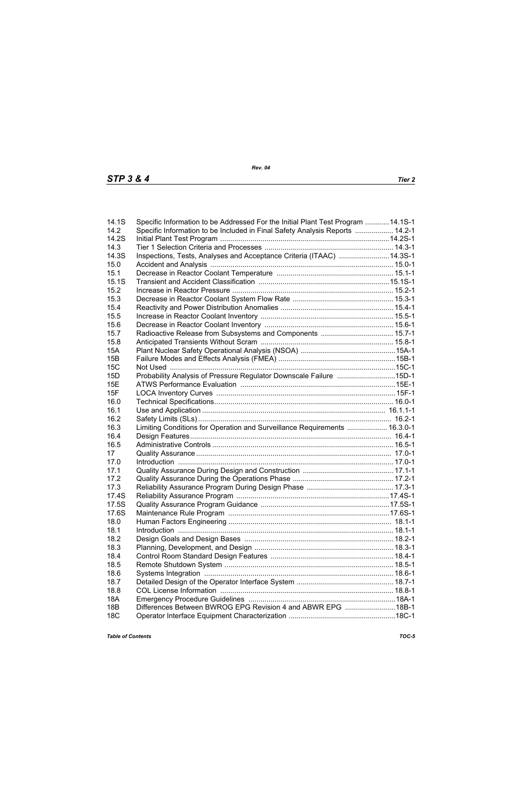| 14.1S      | Specific Information to be Addressed For the Initial Plant Test Program 14.1S-1 |  |
|------------|---------------------------------------------------------------------------------|--|
| 14.2       | Specific Information to be Included in Final Safety Analysis Reports  14.2-1    |  |
| 14.2S      |                                                                                 |  |
| 14.3       |                                                                                 |  |
| 14.3S      | Inspections, Tests, Analyses and Acceptance Criteria (ITAAC) 14.3S-1            |  |
| 15.0       |                                                                                 |  |
| 15.1       |                                                                                 |  |
| 15.1S      |                                                                                 |  |
| 15.2       |                                                                                 |  |
| 15.3       |                                                                                 |  |
| 15.4       |                                                                                 |  |
| 15.5       |                                                                                 |  |
| 15.6       |                                                                                 |  |
| 15.7       | Radioactive Release from Subsystems and Components  15.7-1                      |  |
| 15.8       |                                                                                 |  |
| <b>15A</b> |                                                                                 |  |
| 15B        |                                                                                 |  |
| 15C        |                                                                                 |  |
| 15D        | Probability Analysis of Pressure Regulator Downscale Failure 15D-1              |  |
| 15E        |                                                                                 |  |
| 15F        |                                                                                 |  |
| 16.0       |                                                                                 |  |
| 16.1       |                                                                                 |  |
| 16.2       |                                                                                 |  |
| 16.3       | Limiting Conditions for Operation and Surveillance Requirements  16.3.0-1       |  |
| 16.4       |                                                                                 |  |
| 16.5       |                                                                                 |  |
| 17         |                                                                                 |  |
| 17.0       |                                                                                 |  |
| 17.1       |                                                                                 |  |
| 17.2       |                                                                                 |  |
| 17.3       |                                                                                 |  |
| 17.4S      |                                                                                 |  |
| 17.5S      |                                                                                 |  |
| 17.6S      |                                                                                 |  |
| 18.0       |                                                                                 |  |
| 18.1       |                                                                                 |  |
| 18.2       |                                                                                 |  |
| 18.3       |                                                                                 |  |
| 18.4       |                                                                                 |  |
| 18.5       |                                                                                 |  |
| 18.6       |                                                                                 |  |
| 18.7       |                                                                                 |  |
| 18.8       |                                                                                 |  |
| <b>18A</b> |                                                                                 |  |
| <b>18B</b> | Differences Between BWROG EPG Revision 4 and ABWR EPG 18B-1                     |  |
| <b>18C</b> |                                                                                 |  |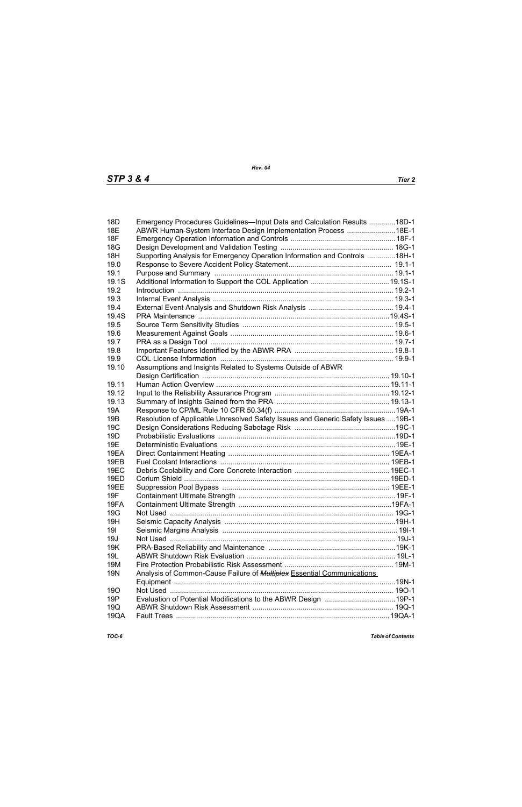| 18 <sub>D</sub> | Emergency Procedures Guidelines-Input Data and Calculation Results 18D-1           |  |
|-----------------|------------------------------------------------------------------------------------|--|
| <b>18E</b>      | ABWR Human-System Interface Design Implementation Process  18E-1                   |  |
| <b>18F</b>      |                                                                                    |  |
| 18G             |                                                                                    |  |
| 18H             | Supporting Analysis for Emergency Operation Information and Controls 18H-1         |  |
| 19.0            |                                                                                    |  |
| 19.1            |                                                                                    |  |
| 19.1S           |                                                                                    |  |
| 19.2            |                                                                                    |  |
| 19.3            |                                                                                    |  |
| 19.4            |                                                                                    |  |
| 19.4S           |                                                                                    |  |
| 19.5            |                                                                                    |  |
| 19.6            |                                                                                    |  |
| 19.7            |                                                                                    |  |
| 19.8            |                                                                                    |  |
| 19.9            |                                                                                    |  |
| 19.10           | Assumptions and Insights Related to Systems Outside of ABWR                        |  |
|                 |                                                                                    |  |
| 19.11           |                                                                                    |  |
| 19.12           |                                                                                    |  |
| 19.13           |                                                                                    |  |
| 19A             |                                                                                    |  |
| 19B             | Resolution of Applicable Unresolved Safety Issues and Generic Safety Issues  19B-1 |  |
| 19 <sub>C</sub> |                                                                                    |  |
| 19D             |                                                                                    |  |
| 19E             |                                                                                    |  |
| 19EA            |                                                                                    |  |
| 19EB            |                                                                                    |  |
| <b>19EC</b>     |                                                                                    |  |
| <b>19ED</b>     |                                                                                    |  |
| 19EE            |                                                                                    |  |
| 19F             |                                                                                    |  |
| 19FA            |                                                                                    |  |
| 19G             |                                                                                    |  |
| 19H             |                                                                                    |  |
| 191             |                                                                                    |  |
| 19J             |                                                                                    |  |
| <b>19K</b>      |                                                                                    |  |
| 19L             |                                                                                    |  |
| 19M             |                                                                                    |  |
| <b>19N</b>      | Analysis of Common-Cause Failure of <b>Multiplex</b> Essential Communications      |  |
|                 |                                                                                    |  |
| <b>190</b>      |                                                                                    |  |
| 19P             |                                                                                    |  |
| 19Q             |                                                                                    |  |
| 19QA            |                                                                                    |  |
|                 |                                                                                    |  |